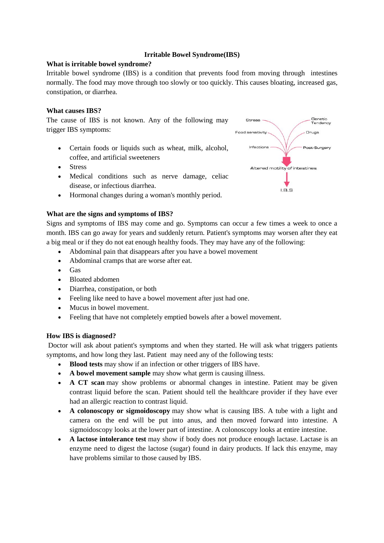# **Irritable Bowel Syndrome(IBS)**

### **What is irritable bowel syndrome?**

Irritable bowel syndrome (IBS) is a condition that prevents food from moving through intestines normally. The food may move through too slowly or too quickly. This causes bloating, increased gas, constipation, or diarrhea.

### **What causes IBS?**

The cause of IBS is not known. Any of the following may trigger IBS symptoms:

- Certain foods or liquids such as wheat, milk, alcohol, coffee, and artificial sweeteners
- Stress
- Medical conditions such as nerve damage, celiac disease, or infectious diarrhea.
- Hormonal changes during a woman's monthly period.

#### **What are the signs and symptoms of IBS?**

Signs and symptoms of IBS may come and go. Symptoms can occur a few times a week to once a month. IBS can go away for years and suddenly return. Patient's symptoms may worsen after they eat a big meal or if they do not eat enough healthy foods. They may have any of the following:

- Abdominal pain that disappears after you have a bowel movement
- Abdominal cramps that are worse after eat.
- $\bullet$  Gas
- Bloated abdomen
- Diarrhea, constipation, or both
- Feeling like need to have a bowel movement after just had one.
- Mucus in bowel movement.
- Feeling that have not completely emptied bowels after a bowel movement.

#### **How IBS is diagnosed?**

Doctor will ask about patient's symptoms and when they started. He will ask what triggers patients symptoms, and how long they last. Patient may need any of the following tests:

- **Blood tests** may show if an infection or other triggers of IBS have.
- **A bowel movement sample** may show what germ is causing illness.
- **A CT scan** may show problems or abnormal changes in intestine. Patient may be given contrast liquid before the scan. Patient should tell the healthcare provider if they have ever had an allergic reaction to contrast liquid.
- **A colonoscopy or sigmoidoscopy** may show what is causing IBS. A tube with a light and camera on the end will be put into anus, and then moved forward into intestine. A sigmoidoscopy looks at the lower part of intestine. A colonoscopy looks at entire intestine.
- **A lactose intolerance test** may show if body does not produce enough lactase. Lactase is an enzyme need to digest the lactose (sugar) found in dairy products. If lack this enzyme, may have problems similar to those caused by IBS.